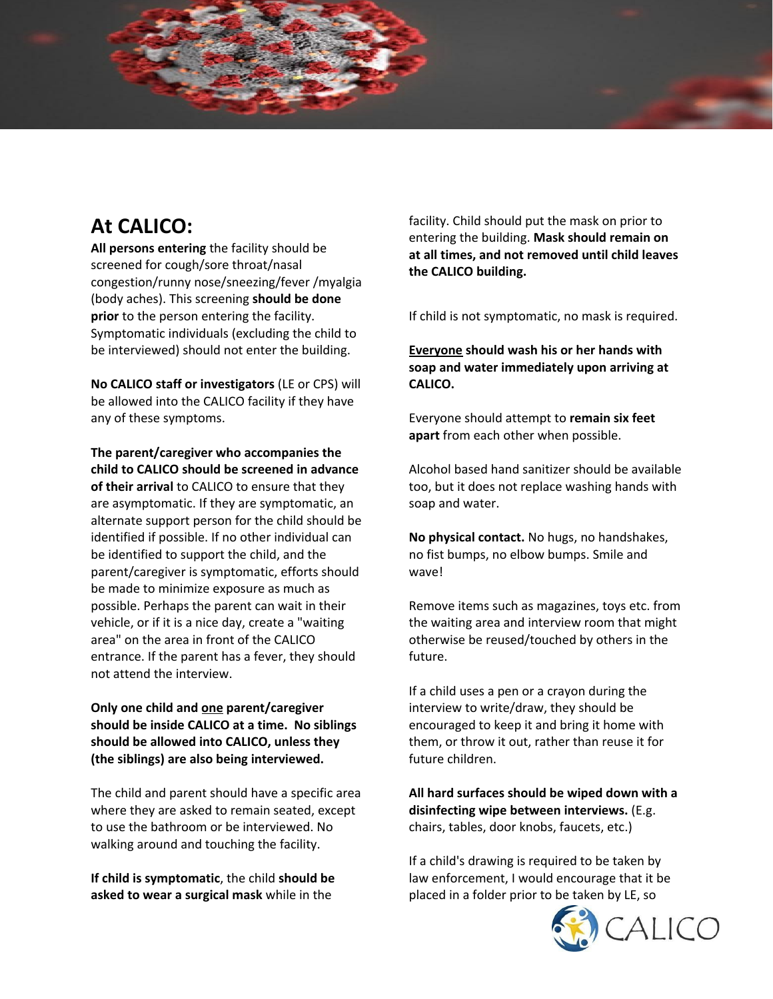# **At CALICO:**

**All persons entering** the facility should be screened for cough/sore throat/nasal congestion/runny nose/sneezing/fever /myalgia (body aches). This screening **should be done prior** to the person entering the facility. Symptomatic individuals (excluding the child to be interviewed) should not enter the building.

**No CALICO staff or investigators** (LE or CPS) will be allowed into the CALICO facility if they have any of these symptoms.

**The parent/caregiver who accompanies the child to CALICO should be screened in advance of their arrival** to CALICO to ensure that they are asymptomatic. If they are symptomatic, an alternate support person for the child should be identified if possible. If no other individual can be identified to support the child, and the parent/caregiver is symptomatic, efforts should be made to minimize exposure as much as possible. Perhaps the parent can wait in their vehicle, or if it is a nice day, create a "waiting area" on the area in front of the CALICO entrance. If the parent has a fever, they should not attend the interview.

### **Only one child and one parent/caregiver should be inside CALICO at a time. No siblings should be allowed into CALICO, unless they (the siblings) are also being interviewed.**

The child and parent should have a specific area where they are asked to remain seated, except to use the bathroom or be interviewed. No walking around and touching the facility.

**If child is symptomatic**, the child **should be asked to wear a surgical mask** while in the

facility. Child should put the mask on prior to entering the building. **Mask should remain on at all times, and not removed until child leaves the CALICO building.**

If child is not symptomatic, no mask is required.

**Everyone should wash his or her hands with soap and water immediately upon arriving at CALICO.**

Everyone should attempt to **remain six feet apart** from each other when possible.

Alcohol based hand sanitizer should be available too, but it does not replace washing hands with soap and water.

**No physical contact.** No hugs, no handshakes, no fist bumps, no elbow bumps. Smile and wave!

Remove items such as magazines, toys etc. from the waiting area and interview room that might otherwise be reused/touched by others in the future.

If a child uses a pen or a crayon during the interview to write/draw, they should be encouraged to keep it and bring it home with them, or throw it out, rather than reuse it for future children.

**All hard surfaces should be wiped down with a disinfecting wipe between interviews.** (E.g. chairs, tables, door knobs, faucets, etc.)

If a child's drawing is required to be taken by law enforcement, I would encourage that it be placed in a folder prior to be taken by LE, so

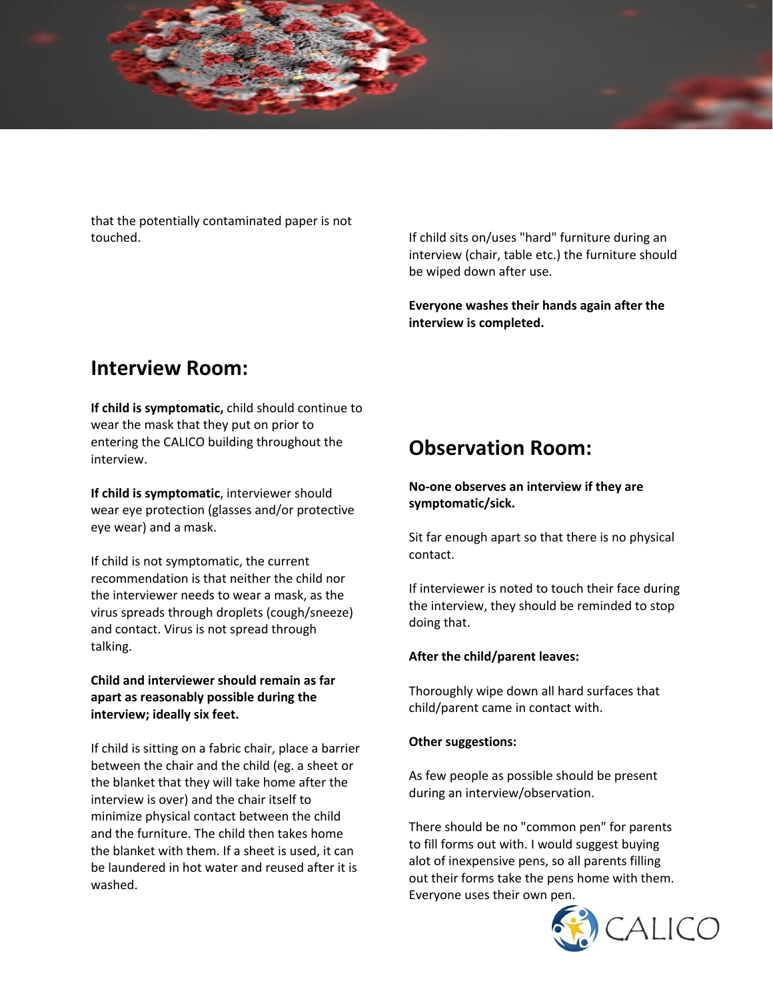that the potentially contaminated paper is not touched.

If child sits on/uses "hard" furniture during an interview (chair, table etc.) the furniture should be wiped down after use.

**Everyone washes their hands again after the interview is completed.**

# **Interview Room:**

**If child is symptomatic,** child should continue to wear the mask that they put on prior to entering the CALICO building throughout the interview.

**If child is symptomatic**, interviewer should wear eye protection (glasses and/or protective eye wear) and a mask.

If child is not symptomatic, the current recommendation is that neither the child nor the interviewer needs to wear a mask, as the virus spreads through droplets (cough/sneeze) and contact. Virus is not spread through talking.

**Child and interviewer should remain as far apart as reasonably possible during the interview; ideally six feet.**

If child is sitting on a fabric chair, place a barrier between the chair and the child (eg. a sheet or the blanket that they will take home after the interview is over) and the chair itself to minimize physical contact between the child and the furniture. The child then takes home the blanket with them. If a sheet is used, it can be laundered in hot water and reused after it is washed.

# **Observation Room:**

#### **No-one observes an interview if they are symptomatic/sick.**

Sit far enough apart so that there is no physical contact.

If interviewer is noted to touch their face during the interview, they should be reminded to stop doing that.

### **After the child/parent leaves:**

Thoroughly wipe down all hard surfaces that child/parent came in contact with.

#### **Other suggestions:**

As few people as possible should be present during an interview/observation.

There should be no "common pen" for parents to fill forms out with. I would suggest buying alot of inexpensive pens, so all parents filling out their forms take the pens home with them. Everyone uses their own pen.